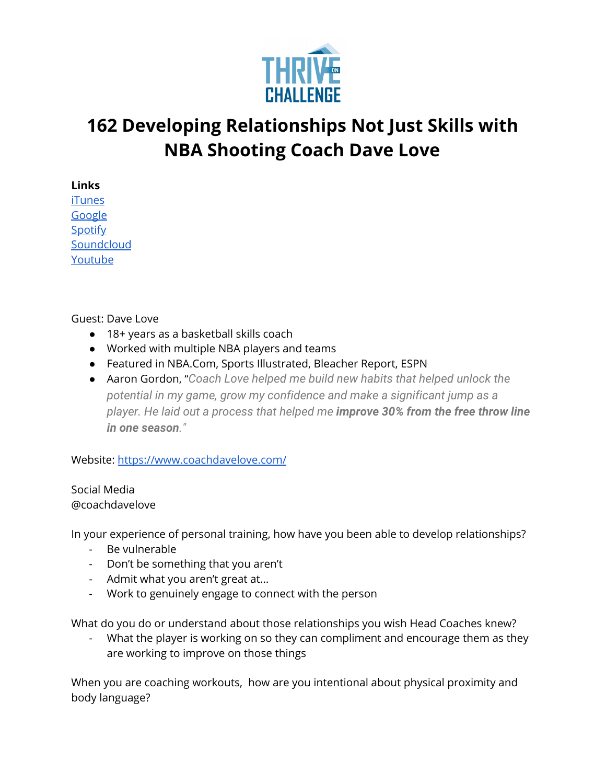

## **162 Developing Relationships Not Just Skills with NBA Shooting Coach Dave Love**

**Links**

[iTunes](https://podcasts.apple.com/us/podcast/coaching-culture/id1286560192) [Google](https://podcasts.google.com/feed/aHR0cHM6Ly9mZWVkcy5zb3VuZGNsb3VkLmNvbS91c2Vycy9zb3VuZGNsb3VkOnVzZXJzOjQxMDQyNzcvc291bmRzLnJzcw?ved=2ahUKEwiSpYquy9vqAhVbQUEAHSAkC88Q4aUDegQIARAC) [Spotify](https://open.spotify.com/show/336Hs8udk8s0yXuK3BzSOq) **[Soundcloud](https://soundcloud.com/thriveonchallenge)** [Youtube](https://www.youtube.com/channel/UC3vIljCBzwHcPyVIx9kiHvw)

Guest: Dave Love

- 18+ years as a basketball skills coach
- Worked with multiple NBA players and teams
- Featured in NBA.Com, Sports Illustrated, Bleacher Report, ESPN
- Aaron Gordon, "*Coach Love helped me build new habits that helped unlock the potential in my game, grow my confidence and make a significant jump as a player. He laid out a process that helped me improve 30% from the free throw line in one season."*

Website: <https://www.coachdavelove.com/>

Social Media @coachdavelove

In your experience of personal training, how have you been able to develop relationships?

- Be vulnerable
- Don't be something that you aren't
- Admit what you aren't great at…
- Work to genuinely engage to connect with the person

What do you do or understand about those relationships you wish Head Coaches knew?

What the player is working on so they can compliment and encourage them as they are working to improve on those things

When you are coaching workouts, how are you intentional about physical proximity and body language?